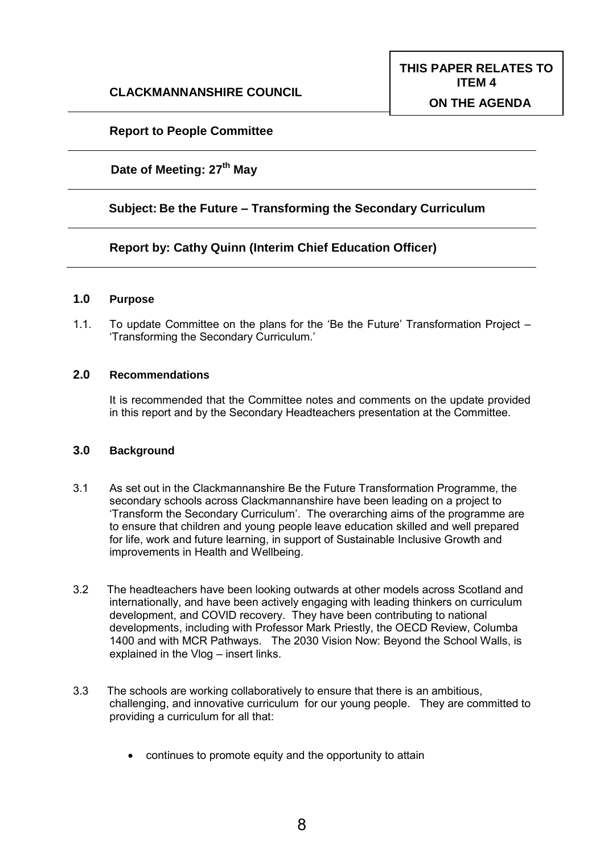# **ON THE AGENDA**

# **Report to People Committee**

# **Date of Meeting: 27th May**

# **Subject: Be the Future – Transforming the Secondary Curriculum**

# **Report by: Cathy Quinn (Interim Chief Education Officer)**

#### **1.0 Purpose**

1.1. To update Committee on the plans for the 'Be the Future' Transformation Project – 'Transforming the Secondary Curriculum.'

#### **2.0 Recommendations**

It is recommended that the Committee notes and comments on the update provided in this report and by the Secondary Headteachers presentation at the Committee.

### **3.0 Background**

- 3.1 As set out in the Clackmannanshire Be the Future Transformation Programme, the secondary schools across Clackmannanshire have been leading on a project to 'Transform the Secondary Curriculum'. The overarching aims of the programme are to ensure that children and young people leave education skilled and well prepared for life, work and future learning, in support of Sustainable Inclusive Growth and improvements in Health and Wellbeing.
- 3.2 The headteachers have been looking outwards at other models across Scotland and internationally, and have been actively engaging with leading thinkers on curriculum development, and COVID recovery. They have been contributing to national developments, including with Professor Mark Priestly, the OECD Review, Columba 1400 and with MCR Pathways. The 2030 Vision Now: Beyond the School Walls, is explained in the Vlog – insert links.
- 3.3 The schools are working collaboratively to ensure that there is an ambitious, challenging, and innovative curriculum for our young people. They are committed to providing a curriculum for all that:
	- continues to promote equity and the opportunity to attain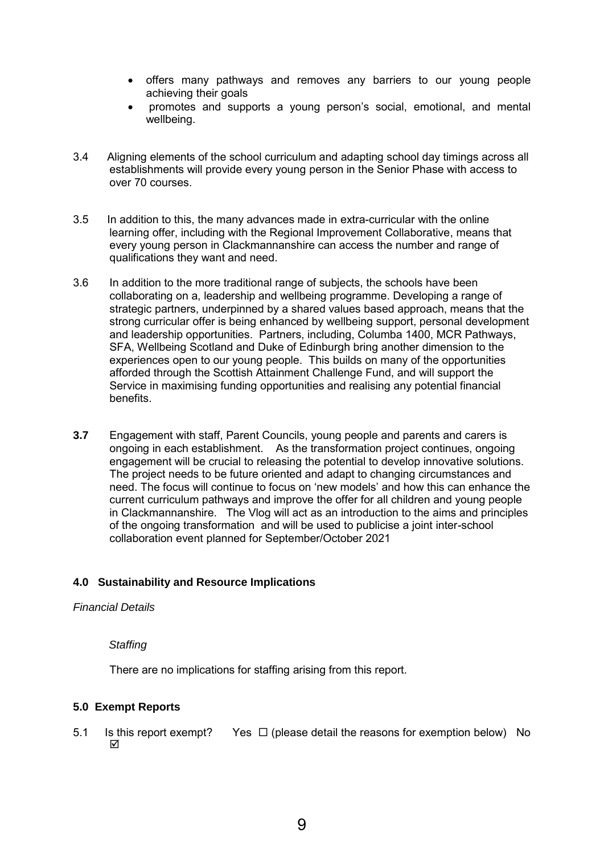- offers many pathways and removes any barriers to our young people achieving their goals
- promotes and supports a young person's social, emotional, and mental wellbeing.
- 3.4 Aligning elements of the school curriculum and adapting school day timings across all establishments will provide every young person in the Senior Phase with access to over 70 courses.
- 3.5 In addition to this, the many advances made in extra-curricular with the online learning offer, including with the Regional Improvement Collaborative, means that every young person in Clackmannanshire can access the number and range of qualifications they want and need.
- 3.6 In addition to the more traditional range of subjects, the schools have been collaborating on a, leadership and wellbeing programme. Developing a range of strategic partners, underpinned by a shared values based approach, means that the strong curricular offer is being enhanced by wellbeing support, personal development and leadership opportunities. Partners, including, Columba 1400, MCR Pathways, SFA, Wellbeing Scotland and Duke of Edinburgh bring another dimension to the experiences open to our young people. This builds on many of the opportunities afforded through the Scottish Attainment Challenge Fund, and will support the Service in maximising funding opportunities and realising any potential financial benefits.
- **3.7** Engagement with staff, Parent Councils, young people and parents and carers is ongoing in each establishment. As the transformation project continues, ongoing engagement will be crucial to releasing the potential to develop innovative solutions. The project needs to be future oriented and adapt to changing circumstances and need. The focus will continue to focus on 'new models' and how this can enhance the current curriculum pathways and improve the offer for all children and young people in Clackmannanshire. The Vlog will act as an introduction to the aims and principles of the ongoing transformation and will be used to publicise a joint inter-school collaboration event planned for September/October 2021

## **4.0 Sustainability and Resource Implications**

#### *Financial Details*

#### *Staffing*

There are no implications for staffing arising from this report.

## **5.0 Exempt Reports**

5.1 Is this report exempt? Yes  $\Box$  (please detail the reasons for exemption below) No ☑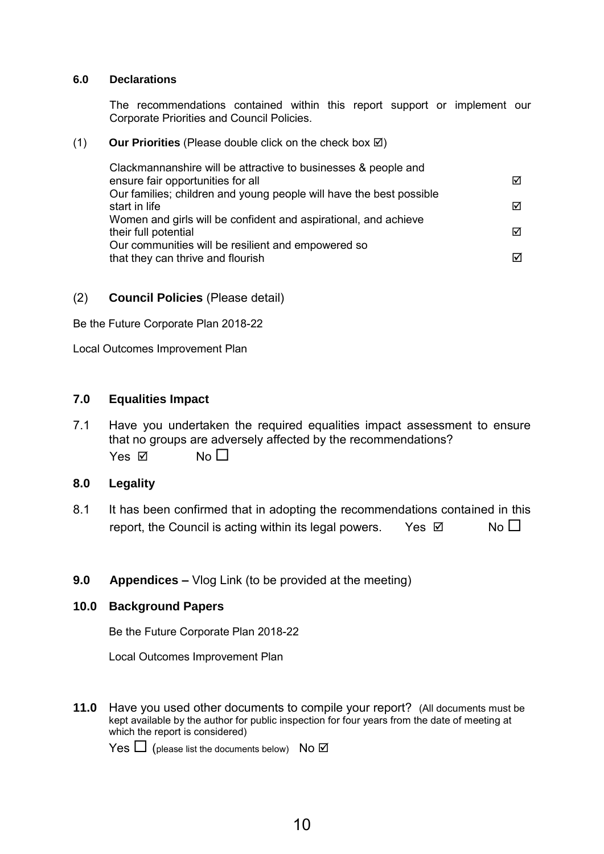### **6.0 Declarations**

The recommendations contained within this report support or implement our Corporate Priorities and Council Policies.

### (1) **Our Priorities** (Please double click on the check box  $\boxtimes$ )

Clackmannanshire will be attractive to businesses & people and ensure fair opportunities for all ensure fair opportunities for all Our families; children and young people will have the best possible start in life Women and girls will be confident and aspirational, and achieve their full potential  $\Box$ Our communities will be resilient and empowered so that they can thrive and flourish that they can be a structured by  $\Box$ 

# (2) **Council Policies** (Please detail)

Be the Future Corporate Plan 2018-22

Local Outcomes Improvement Plan

## **7.0 Equalities Impact**

7.1 Have you undertaken the required equalities impact assessment to ensure that no groups are adversely affected by the recommendations?  $Yes \nabla$   $No \nabla$ 

## **8.0 Legality**

- 8.1 It has been confirmed that in adopting the recommendations contained in this report, the Council is acting within its legal powers. Yes  $\boxtimes$  No  $\Box$
- **9.0 Appendices –** Vlog Link (to be provided at the meeting)

## **10.0 Background Papers**

Be the Future Corporate Plan 2018-22

Local Outcomes Improvement Plan

**11.0** Have you used other documents to compile your report? (All documents must be kept available by the author for public inspection for four years from the date of meeting at which the report is considered)

Yes  $\Box$  (please list the documents below) No  $\boxtimes$